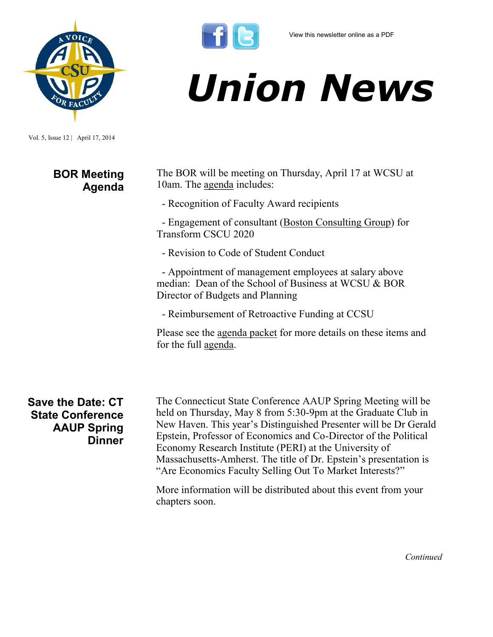

Vol. 5, Issue 12 | April 17, 2014

## **BOR Meeting Agenda**

# *Union News*

The BOR will be meeting on Thursday, April 17 at WCSU at 10am. The <u>agenda</u> includes:

- Recognition of Faculty Award recipients

 - Engagement of consultant ([Boston Consulting Group\)](http://www.bcg.com/) for Transform CSCU 2020

- Revision to Code of Student Conduct

 - Appointment of management employees at salary above median: Dean of the School of Business at WCSU & BOR Director of Budgets and Planning

- Reimbursement of Retroactive Funding at CCSU

Please see the [agenda packet](http://www.ct.edu/images/uploads/BOR-AgendaPacket-04-17-2014.pdf?13457) for more details on these items and for the full [agenda.](http://www.ct.edu/images/uploads/BOR-AgendaPacket-04-17-2014.pdf?13457) 

## **Save the Date: CT State Conference AAUP Spring Dinner**

The Connecticut State Conference AAUP Spring Meeting will be held on Thursday, May 8 from 5:30-9pm at the Graduate Club in New Haven. This year's Distinguished Presenter will be Dr Gerald Epstein, Professor of Economics and Co-Director of the Political Economy Research Institute (PERI) at the University of Massachusetts-Amherst. The title of Dr. Epstein's presentation is "Are Economics Faculty Selling Out To Market Interests?"

More information will be distributed about this event from your chapters soon.

*Continued*